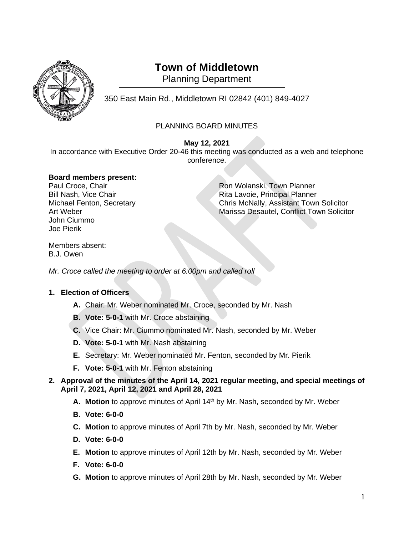

# **Town of Middletown**

Planning Department

350 East Main Rd., Middletown RI 02842 (401) 849-4027 <sup>1</sup>

## PLANNING BOARD MINUTES

### **May 12, 2021**

In accordance with Executive Order 20-46 this meeting was conducted as a web and telephone conference.

### **Board members present:**

John Ciummo Joe Pierik

Paul Croce, Chair **Paul Croce, Chair** Ron Wolanski, Town Planner Bill Nash, Vice Chair **Rita Lavoie, Principal Planner** Rita Lavoie, Principal Planner Michael Fenton, Secretary Chris McNally, Assistant Town Solicitor Art Weber Marissa Desautel, Conflict Town Solicitor

Members absent: B.J. Owen

*Mr. Croce called the meeting to order at 6:00pm and called roll*

## **1. Election of Officers**

- **A.** Chair: Mr. Weber nominated Mr. Croce, seconded by Mr. Nash
- **B. Vote: 5-0-1** with Mr. Croce abstaining
- **C.** Vice Chair: Mr. Ciummo nominated Mr. Nash, seconded by Mr. Weber
- **D. Vote: 5-0-1** with Mr. Nash abstaining
- **E.** Secretary: Mr. Weber nominated Mr. Fenton, seconded by Mr. Pierik
- **F. Vote: 5-0-1** with Mr. Fenton abstaining

### **2. Approval of the minutes of the April 14, 2021 regular meeting, and special meetings of April 7, 2021, April 12, 2021 and April 28, 2021**

- **A. Motion** to approve minutes of April 14th by Mr. Nash, seconded by Mr. Weber
- **B. Vote: 6-0-0**
- **C. Motion** to approve minutes of April 7th by Mr. Nash, seconded by Mr. Weber
- **D. Vote: 6-0-0**
- **E. Motion** to approve minutes of April 12th by Mr. Nash, seconded by Mr. Weber
- **F. Vote: 6-0-0**
- **G. Motion** to approve minutes of April 28th by Mr. Nash, seconded by Mr. Weber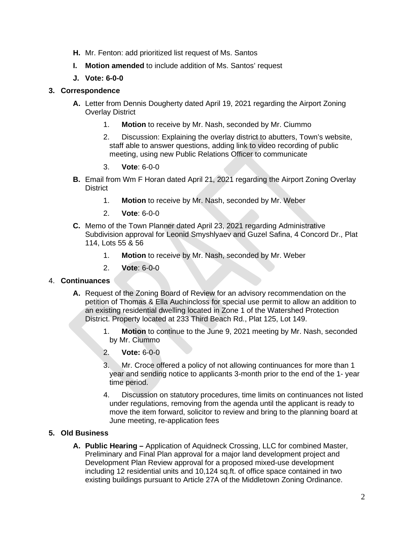- **H.** Mr. Fenton: add prioritized list request of Ms. Santos
- **I. Motion amended** to include addition of Ms. Santos' request
- **J. Vote: 6-0-0**

#### **3. Correspondence**

- **A.** Letter from Dennis Dougherty dated April 19, 2021 regarding the Airport Zoning Overlay District
	- 1. **Motion** to receive by Mr. Nash, seconded by Mr. Ciummo
	- 2. Discussion: Explaining the overlay district to abutters, Town's website, staff able to answer questions, adding link to video recording of public meeting, using new Public Relations Officer to communicate
	- 3. **Vote**: 6-0-0
- **B.** Email from Wm F Horan dated April 21, 2021 regarding the Airport Zoning Overlay District
	- 1. **Motion** to receive by Mr. Nash, seconded by Mr. Weber
	- 2. **Vote**: 6-0-0
- **C.** Memo of the Town Planner dated April 23, 2021 regarding Administrative Subdivision approval for Leonid Smyshlyaev and Guzel Safina, 4 Concord Dr., Plat 114, Lots 55 & 56
	- 1. **Motion** to receive by Mr. Nash, seconded by Mr. Weber
	- 2. **Vote**: 6-0-0

#### 4. **Continuances**

- **A.** Request of the Zoning Board of Review for an advisory recommendation on the petition of Thomas & Ella Auchincloss for special use permit to allow an addition to an existing residential dwelling located in Zone 1 of the Watershed Protection District. Property located at 233 Third Beach Rd., Plat 125, Lot 149.
	- 1. **Motion** to continue to the June 9, 2021 meeting by Mr. Nash, seconded by Mr. Ciummo
	- 2. **Vote:** 6-0-0
	- 3. Mr. Croce offered a policy of not allowing continuances for more than 1 year and sending notice to applicants 3-month prior to the end of the 1- year time period.
	- 4. Discussion on statutory procedures, time limits on continuances not listed under regulations, removing from the agenda until the applicant is ready to move the item forward, solicitor to review and bring to the planning board at June meeting, re-application fees

### **5. Old Business**

**A. Public Hearing –** Application of Aquidneck Crossing, LLC for combined Master, Preliminary and Final Plan approval for a major land development project and Development Plan Review approval for a proposed mixed-use development including 12 residential units and 10,124 sq.ft. of office space contained in two existing buildings pursuant to Article 27A of the Middletown Zoning Ordinance.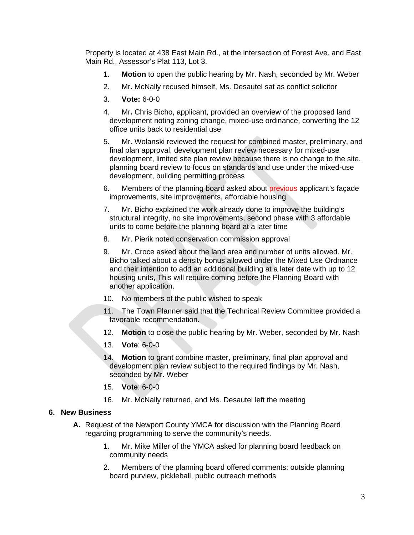Property is located at 438 East Main Rd., at the intersection of Forest Ave. and East Main Rd., Assessor's Plat 113, Lot 3.

- 1. **Motion** to open the public hearing by Mr. Nash, seconded by Mr. Weber
- 2. Mr**.** McNally recused himself, Ms. Desautel sat as conflict solicitor
- 3. **Vote:** 6-0-0
- 4. Mr**.** Chris Bicho, applicant, provided an overview of the proposed land development noting zoning change, mixed-use ordinance, converting the 12 office units back to residential use
- 5. Mr. Wolanski reviewed the request for combined master, preliminary, and final plan approval, development plan review necessary for mixed-use development, limited site plan review because there is no change to the site, planning board review to focus on standards and use under the mixed-use development, building permitting process
- 6. Members of the planning board asked about previous applicant's façade improvements, site improvements, affordable housing
- 7. Mr. Bicho explained the work already done to improve the building's structural integrity, no site improvements, second phase with 3 affordable units to come before the planning board at a later time
- 8. Mr. Pierik noted conservation commission approval
- 9. Mr. Croce asked about the land area and number of units allowed. Mr. Bicho talked about a density bonus allowed under the Mixed Use Ordnance and their intention to add an additional building at a later date with up to 12 housing units, This will require coming before the Planning Board with another application.
- 10. No members of the public wished to speak
- 11. The Town Planner said that the Technical Review Committee provided a favorable recommendation.
- 12. **Motion** to close the public hearing by Mr. Weber, seconded by Mr. Nash
- 13. **Vote**: 6-0-0
- 14. **Motion** to grant combine master, preliminary, final plan approval and development plan review subject to the required findings by Mr. Nash, seconded by Mr. Weber
- 15. **Vote**: 6-0-0
- 16. Mr. McNally returned, and Ms. Desautel left the meeting

#### **6. New Business**

- **A.** Request of the Newport County YMCA for discussion with the Planning Board regarding programming to serve the community's needs.
	- 1. Mr. Mike Miller of the YMCA asked for planning board feedback on community needs
	- 2. Members of the planning board offered comments: outside planning board purview, pickleball, public outreach methods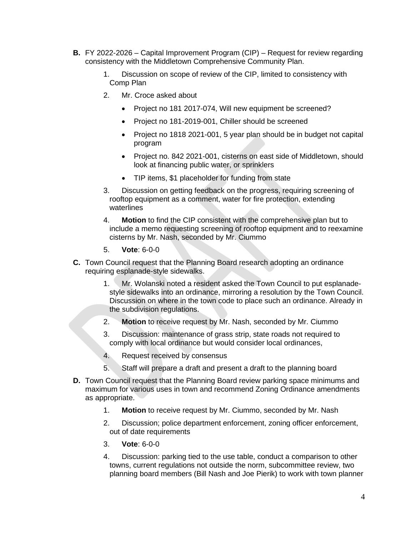- **B.** FY 2022-2026 Capital Improvement Program (CIP) Request for review regarding consistency with the Middletown Comprehensive Community Plan.
	- 1. Discussion on scope of review of the CIP, limited to consistency with Comp Plan
	- 2. Mr. Croce asked about
		- Project no 181 2017-074, Will new equipment be screened?
		- Project no 181-2019-001, Chiller should be screened
		- Project no 1818 2021-001, 5 year plan should be in budget not capital program
		- Project no. 842 2021-001, cisterns on east side of Middletown, should look at financing public water, or sprinklers
		- TIP items, \$1 placeholder for funding from state
	- 3. Discussion on getting feedback on the progress, requiring screening of rooftop equipment as a comment, water for fire protection, extending waterlines
	- 4. **Motion** to find the CIP consistent with the comprehensive plan but to include a memo requesting screening of rooftop equipment and to reexamine cisterns by Mr. Nash, seconded by Mr. Ciummo
	- 5. **Vote**: 6-0-0
- **C.** Town Council request that the Planning Board research adopting an ordinance requiring esplanade-style sidewalks.
	- 1. Mr. Wolanski noted a resident asked the Town Council to put esplanadestyle sidewalks into an ordinance, mirroring a resolution by the Town Council. Discussion on where in the town code to place such an ordinance. Already in the subdivision regulations.
	- 2. **Motion** to receive request by Mr. Nash, seconded by Mr. Ciummo
	- 3. Discussion: maintenance of grass strip, state roads not required to comply with local ordinance but would consider local ordinances,
	- 4. Request received by consensus
	- 5. Staff will prepare a draft and present a draft to the planning board
- **D.** Town Council request that the Planning Board review parking space minimums and maximum for various uses in town and recommend Zoning Ordinance amendments as appropriate.
	- 1. **Motion** to receive request by Mr. Ciummo, seconded by Mr. Nash
	- 2. Discussion; police department enforcement, zoning officer enforcement, out of date requirements
	- 3. **Vote**: 6-0-0
	- 4. Discussion: parking tied to the use table, conduct a comparison to other towns, current regulations not outside the norm, subcommittee review, two planning board members (Bill Nash and Joe Pierik) to work with town planner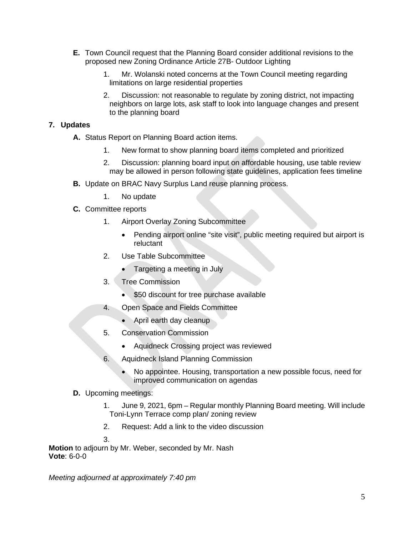- **E.** Town Council request that the Planning Board consider additional revisions to the proposed new Zoning Ordinance Article 27B- Outdoor Lighting
	- 1. Mr. Wolanski noted concerns at the Town Council meeting regarding limitations on large residential properties
	- 2. Discussion: not reasonable to regulate by zoning district, not impacting neighbors on large lots, ask staff to look into language changes and present to the planning board

### **7. Updates**

- **A.** Status Report on Planning Board action items.
	- 1. New format to show planning board items completed and prioritized
	- 2. Discussion: planning board input on affordable housing, use table review may be allowed in person following state guidelines, application fees timeline
- **B.** Update on BRAC Navy Surplus Land reuse planning process.
	- 1. No update
- **C.** Committee reports
	- 1. Airport Overlay Zoning Subcommittee
		- Pending airport online "site visit", public meeting required but airport is reluctant
	- 2. Use Table Subcommittee
		- Targeting a meeting in July
	- 3. Tree Commission
		- \$50 discount for tree purchase available
	- 4. Open Space and Fields Committee
		- April earth day cleanup
	- 5. Conservation Commission
		- Aquidneck Crossing project was reviewed
	- 6. Aquidneck Island Planning Commission
		- No appointee. Housing, transportation a new possible focus, need for improved communication on agendas
- **D.** Upcoming meetings:
	- 1. June 9, 2021, 6pm Regular monthly Planning Board meeting. Will include Toni-Lynn Terrace comp plan/ zoning review
	- 2. Request: Add a link to the video discussion
	- 3.

**Motion** to adjourn by Mr. Weber, seconded by Mr. Nash **Vote**: 6-0-0

*Meeting adjourned at approximately 7:40 pm*